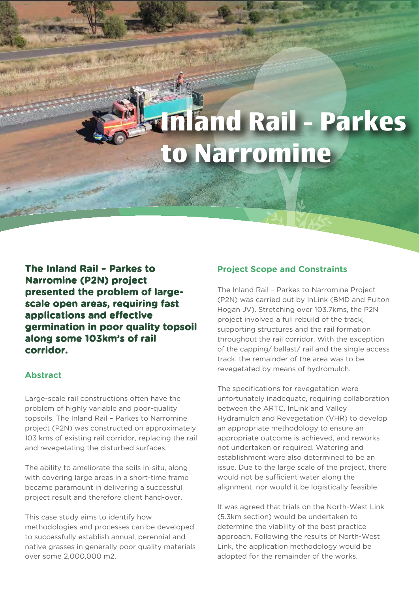# **Inland Rail - Parkes to Narromine**

**The Inland Rail – Parkes to Narromine (P2N) project presented the problem of largescale open areas, requiring fast applications and effective germination in poor quality topsoil along some 103km's of rail corridor.**

### **Abstract**

Large-scale rail constructions often have the problem of highly variable and poor-quality topsoils. The Inland Rail – Parkes to Narromine project (P2N) was constructed on approximately 103 kms of existing rail corridor, replacing the rail and revegetating the disturbed surfaces.

The ability to ameliorate the soils in-situ, along with covering large areas in a short-time frame became paramount in delivering a successful project result and therefore client hand-over.

This case study aims to identify how methodologies and processes can be developed to successfully establish annual, perennial and native grasses in generally poor quality materials over some 2,000,000 m2.

### **Project Scope and Constraints**

The Inland Rail – Parkes to Narromine Project (P2N) was carried out by InLink (BMD and Fulton Hogan JV). Stretching over 103.7kms, the P2N project involved a full rebuild of the track, supporting structures and the rail formation throughout the rail corridor. With the exception of the capping/ ballast/ rail and the single access track, the remainder of the area was to be revegetated by means of hydromulch.

The specifications for revegetation were unfortunately inadequate, requiring collaboration between the ARTC, InLink and Valley Hydramulch and Revegetation (VHR) to develop an appropriate methodology to ensure an appropriate outcome is achieved, and reworks not undertaken or required. Watering and establishment were also determined to be an issue. Due to the large scale of the project, there would not be sufficient water along the alignment, nor would it be logistically feasible.

It was agreed that trials on the North-West Link (5.3km section) would be undertaken to determine the viability of the best practice approach. Following the results of North-West Link, the application methodology would be adopted for the remainder of the works.